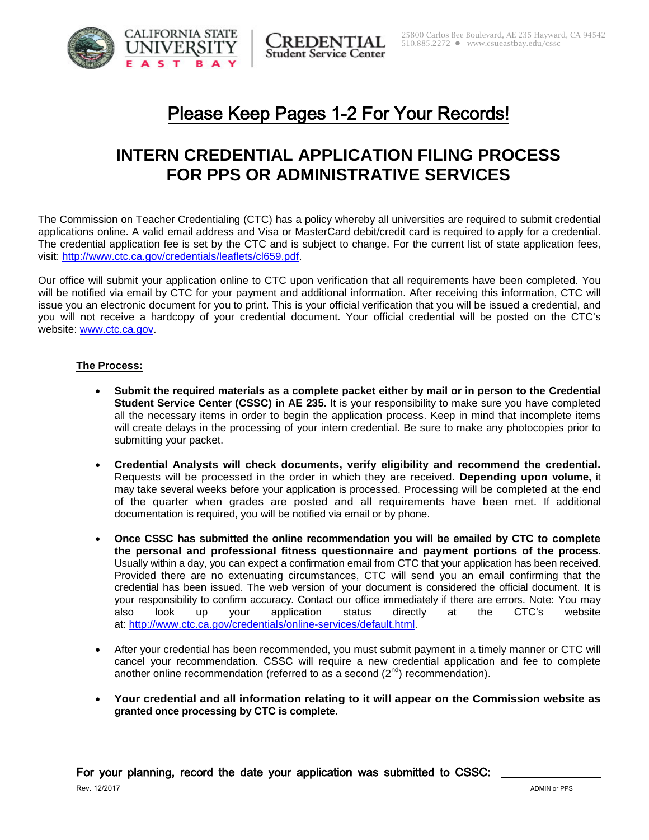



REDENTIAL **Student Service Center** 

# Please Keep Pages 1-2 For Your Records!

## **INTERN CREDENTIAL APPLICATION FILING PROCESS FOR PPS OR ADMINISTRATIVE SERVICES**

The Commission on Teacher Credentialing (CTC) has a policy whereby all universities are required to submit credential applications online. A valid email address and Visa or MasterCard debit/credit card is required to apply for a credential. The credential application fee is set by the CTC and is subject to change. For the current list of state application fees, visit: [http://www.ctc.ca.gov/credentials/leaflets/cl659.pdf.](http://www.ctc.ca.gov/credentials/leaflets/cl659.pdf)

Our office will submit your application online to CTC upon verification that all requirements have been completed. You will be notified via email by CTC for your payment and additional information. After receiving this information, CTC will issue you an electronic document for you to print. This is your official verification that you will be issued a credential, and you will not receive a hardcopy of your credential document. Your official credential will be posted on the CTC's website: [www.ctc.ca.gov.](http://www.ctc.ca.gov/)

#### **The Process:**

- **Submit the required materials as a complete packet either by mail or in person to the Credential Student Service Center (CSSC) in AE 235.** It is your responsibility to make sure you have completed all the necessary items in order to begin the application process. Keep in mind that incomplete items will create delays in the processing of your intern credential. Be sure to make any photocopies prior to submitting your packet.
- **Credential Analysts will check documents, verify eligibility and recommend the credential.**  Requests will be processed in the order in which they are received. **Depending upon volume,** it may take several weeks before your application is processed. Processing will be completed at the end of the quarter when grades are posted and all requirements have been met. If additional documentation is required, you will be notified via email or by phone.
- **Once CSSC has submitted the online recommendation you will be emailed by CTC to complete the personal and professional fitness questionnaire and payment portions of the process.**  Usually within a day, you can expect a confirmation email from CTC that your application has been received. Provided there are no extenuating circumstances, CTC will send you an email confirming that the credential has been issued. The web version of your document is considered the official document. It is your responsibility to confirm accuracy. Contact our office immediately if there are errors. Note: You may also look up your application status directly at the CTC's website at: [http://www.ctc.ca.gov/credentials/online-services/default.html.](http://www.ctc.ca.gov/credentials/online-services/default.html)
- After your credential has been recommended, you must submit payment in a timely manner or CTC will cancel your recommendation. CSSC will require a new credential application and fee to complete another online recommendation (referred to as a second  $(2^{nd})$  recommendation).
- **Your credential and all information relating to it will appear on the Commission website as granted once processing by CTC is complete.**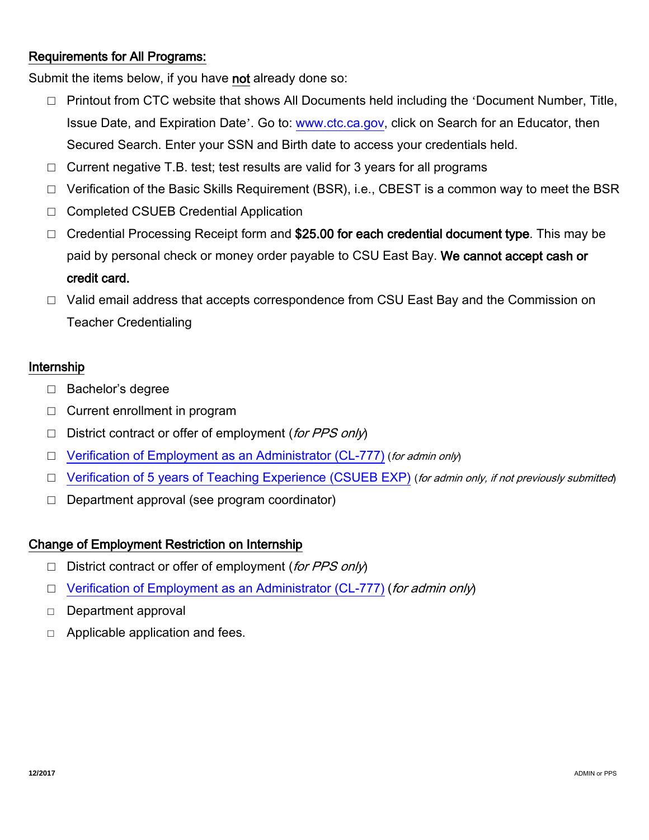## Requirements for All Programs:

Submit the items below, if you have not already done so:

- □ Printout from CTC website that shows All Documents held including the 'Document Number, Title, Issue Date, and Expiration Date'. Go to: [www.ctc.ca.gov,](http://www.ctc.ca.gov/) click on Search for an Educator, then Secured Search. Enter your SSN and Birth date to access your credentials held.
- □ Current negative T.B. test; test results are valid for 3 years for all programs
- □ Verification of the Basic Skills Requirement (BSR), i.e., CBEST is a common way to meet the BSR
- □ Completed CSUEB Credential Application
- □ Credential Processing Receipt form and \$25.00 for each credential document type. This may be paid by personal check or money order payable to CSU East Bay. We cannot accept cash or credit card.
- □ Valid email address that accepts correspondence from CSU East Bay and the Commission on Teacher Credentialing

#### Internship

- □ Bachelor's degree
- □ Current enrollment in program
- $\Box$  District contract or offer of employment (for PPS only)
- □ [Verification of Employment as an Administrator](https://www.ctc.ca.gov/docs/default-source/leaflets/cl777.pdf?sfvrsn=93bed076_2) (CL-777) (for admin only)
- □ [Verification of 5 years of Teaching Experience](http://www.csueastbay.edu/cssc/files/docs/forms-and-docs/cssc-office-cl-41exp-verificationofexperience.pdf) (CSUEB EXP) (for admin only, if not previously submitted)
- $\Box$  Department approval (see program coordinator)

#### Change of Employment Restriction on Internship

- $\Box$  District contract or offer of employment (for PPS only)
- □ [Verification of Employment as an Administrator \(CL-777\)](https://www.ctc.ca.gov/docs/default-source/leaflets/cl777.pdf?sfvrsn=93bed076_2) (for admin only)
- □ Department approval
- $\Box$  Applicable application and fees.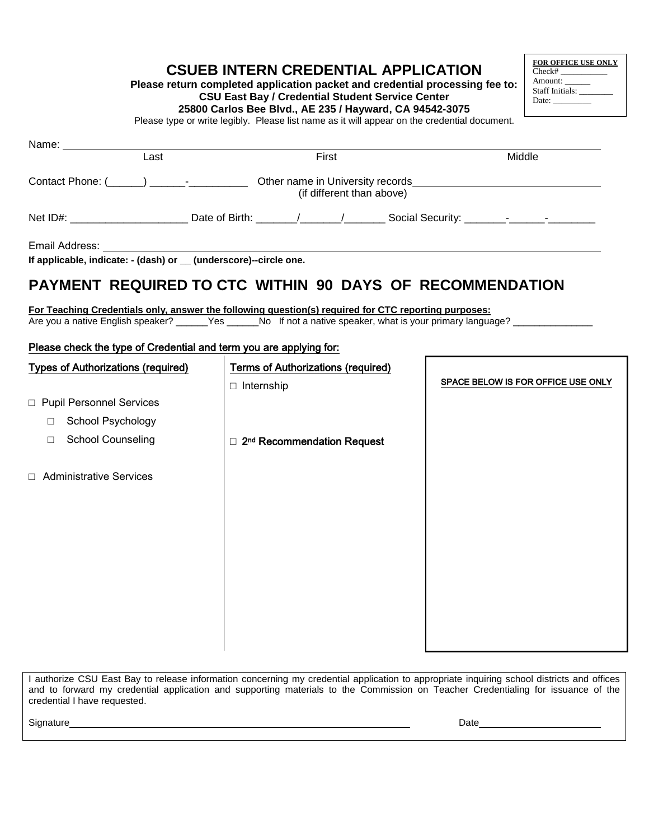**Please return completed application packet and credential processing fee to: CSU East Bay / Credential Student Service Center**

**FOR OFFICE USE ONLY**  $\overline{\text{Check#}}$ Amount: \_\_\_\_\_\_ Staff Initials: Date: \_\_\_\_\_\_\_\_\_

**25800 Carlos Bee Blvd., AE 235 / Hayward, CA 94542-3075**

Please type or write legibly. Please list name as it will appear on the credential document.

| Last                                                                                                                                                                                                                                                                                                                  | First                                                                                                                                                                                                                                                       | Middle                             |  |  |
|-----------------------------------------------------------------------------------------------------------------------------------------------------------------------------------------------------------------------------------------------------------------------------------------------------------------------|-------------------------------------------------------------------------------------------------------------------------------------------------------------------------------------------------------------------------------------------------------------|------------------------------------|--|--|
|                                                                                                                                                                                                                                                                                                                       | Contact Phone: (Contact Phone: (Contact Phone: Contact Phone: Contact Phone: Contact Phone: Contact Phone: Contact Phone: Contact Phone: Contact Phone: Contact Phone: Contact Phone: Contact Phone: Contact Phone: Contact Ph<br>(if different than above) |                                    |  |  |
|                                                                                                                                                                                                                                                                                                                       | Net ID#: _________________________Date of Birth: _______/______/__________Social Security: _______-___________                                                                                                                                              |                                    |  |  |
| If applicable, indicate: - (dash) or _ (underscore)--circle one.                                                                                                                                                                                                                                                      |                                                                                                                                                                                                                                                             |                                    |  |  |
|                                                                                                                                                                                                                                                                                                                       | PAYMENT REQUIRED TO CTC WITHIN 90 DAYS OF RECOMMENDATION                                                                                                                                                                                                    |                                    |  |  |
| For Teaching Credentials only, answer the following question(s) required for CTC reporting purposes:<br>Are you a native English speaker? ______Yes ______No If not a native speaker, what is your primary language? __________________________<br>Please check the type of Credential and term you are applying for: |                                                                                                                                                                                                                                                             |                                    |  |  |
| <b>Types of Authorizations (required)</b>                                                                                                                                                                                                                                                                             | <b>Terms of Authorizations (required)</b>                                                                                                                                                                                                                   |                                    |  |  |
|                                                                                                                                                                                                                                                                                                                       | $\Box$ Internship                                                                                                                                                                                                                                           | SPACE BELOW IS FOR OFFICE USE ONLY |  |  |
| □ Pupil Personnel Services                                                                                                                                                                                                                                                                                            |                                                                                                                                                                                                                                                             |                                    |  |  |
| School Psychology<br>$\Box$                                                                                                                                                                                                                                                                                           |                                                                                                                                                                                                                                                             |                                    |  |  |
| <b>School Counseling</b><br>$\Box$                                                                                                                                                                                                                                                                                    | □ 2 <sup>nd</sup> Recommendation Request                                                                                                                                                                                                                    |                                    |  |  |
| □ Administrative Services                                                                                                                                                                                                                                                                                             |                                                                                                                                                                                                                                                             |                                    |  |  |
|                                                                                                                                                                                                                                                                                                                       |                                                                                                                                                                                                                                                             |                                    |  |  |
|                                                                                                                                                                                                                                                                                                                       |                                                                                                                                                                                                                                                             |                                    |  |  |
|                                                                                                                                                                                                                                                                                                                       |                                                                                                                                                                                                                                                             |                                    |  |  |
|                                                                                                                                                                                                                                                                                                                       |                                                                                                                                                                                                                                                             |                                    |  |  |

I authorize CSU East Bay to release information concerning my credential application to appropriate inquiring school districts and offices and to forward my credential application and supporting materials to the Commission on Teacher Credentialing for issuance of the credential I have requested.

Signature Date Date Contract of the Contract of the Contract of the Date Date Date Date Date Contract of the Date Date Of the Date of the Date of the Date of the Date of the Date of the Date of the Date of the Date of the